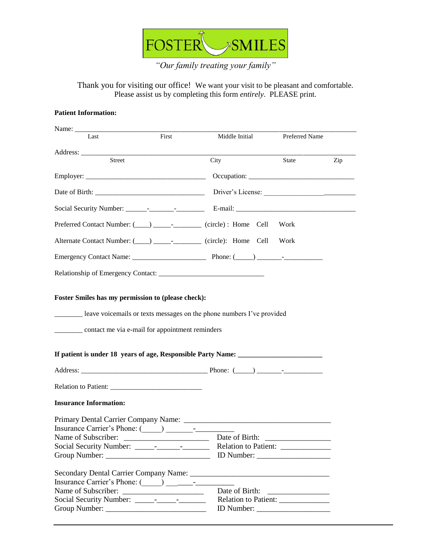

*"Our family treating your family"*

Thank you for visiting our office! We want your visit to be pleasant and comfortable. Please assist us by completing this form *entirely*. PLEASE print.

## **Patient Information:**

| Last                                                                                                                                                                                                                          | First                               | Middle Initial                     | Preferred Name |     |
|-------------------------------------------------------------------------------------------------------------------------------------------------------------------------------------------------------------------------------|-------------------------------------|------------------------------------|----------------|-----|
|                                                                                                                                                                                                                               |                                     |                                    |                |     |
| Street                                                                                                                                                                                                                        |                                     | City                               | State          | Zip |
|                                                                                                                                                                                                                               |                                     |                                    |                |     |
|                                                                                                                                                                                                                               |                                     |                                    |                |     |
|                                                                                                                                                                                                                               |                                     |                                    |                |     |
| Preferred Contact Number: (____) _____________ (circle) : Home Cell                                                                                                                                                           |                                     |                                    | Work           |     |
| Alternate Contact Number: (____) ____________ (circle): Home Cell                                                                                                                                                             |                                     |                                    | Work           |     |
|                                                                                                                                                                                                                               |                                     |                                    |                |     |
|                                                                                                                                                                                                                               |                                     |                                    |                |     |
| leave voicemails or texts messages on the phone numbers I've provided<br>__________ contact me via e-mail for appointment reminders<br>If patient is under 18 years of age, Responsible Party Name: ____________________      |                                     |                                    |                |     |
|                                                                                                                                                                                                                               |                                     |                                    |                |     |
|                                                                                                                                                                                                                               |                                     |                                    |                |     |
| <b>Insurance Information:</b>                                                                                                                                                                                                 |                                     |                                    |                |     |
|                                                                                                                                                                                                                               |                                     |                                    |                |     |
| Insurance Carrier's Phone: (Carrier's Company Company Company Company Company Company Company Company Company Company Company Company Company Company Company Company Company Company Company Company Company Company Company |                                     |                                    |                |     |
| Name of Subscriber:                                                                                                                                                                                                           |                                     | Date of Birth:                     |                |     |
|                                                                                                                                                                                                                               |                                     | Relation to Patient: _____________ |                |     |
|                                                                                                                                                                                                                               |                                     |                                    |                |     |
|                                                                                                                                                                                                                               |                                     |                                    |                |     |
|                                                                                                                                                                                                                               |                                     |                                    |                |     |
|                                                                                                                                                                                                                               |                                     | Date of Birth:                     |                |     |
|                                                                                                                                                                                                                               | Relation to Patient: ______________ |                                    |                |     |
|                                                                                                                                                                                                                               | Group Number:                       |                                    |                |     |